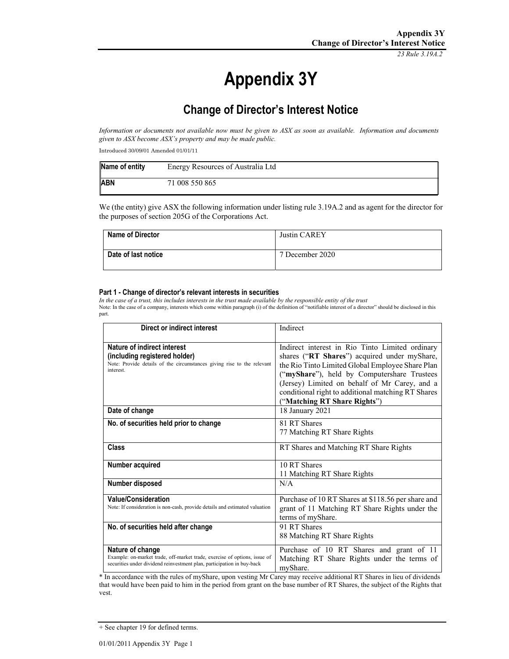*23 Rule 3.19A.2*

# **Appendix 3Y**

## **Change of Director's Interest Notice**

*Information or documents not available now must be given to ASX as soon as available. Information and documents given to ASX become ASX's property and may be made public.* 

Introduced 30/09/01 Amended 01/01/11

| Name of entity | Energy Resources of Australia Ltd |
|----------------|-----------------------------------|
| <b>ABN</b>     | 71 008 550 865                    |

We (the entity) give ASX the following information under listing rule 3.19A.2 and as agent for the director for the purposes of section 205G of the Corporations Act.

| <b>Name of Director</b> | Justin CAREY    |
|-------------------------|-----------------|
| Date of last notice     | 7 December 2020 |

#### **Part 1 - Change of director's relevant interests in securities**

*In the case of a trust, this includes interests in the trust made available by the responsible entity of the trust*  Note: In the case of a company, interests which come within paragraph (i) of the definition of "notifiable interest of a director" should be disclosed in this part.

| Direct or indirect interest                                                                                                                                             | Indirect                                                                                                                                                                                                                                                                                                                                  |
|-------------------------------------------------------------------------------------------------------------------------------------------------------------------------|-------------------------------------------------------------------------------------------------------------------------------------------------------------------------------------------------------------------------------------------------------------------------------------------------------------------------------------------|
| Nature of indirect interest<br>(including registered holder)<br>Note: Provide details of the circumstances giving rise to the relevant<br>interest.                     | Indirect interest in Rio Tinto Limited ordinary<br>shares ("RT Shares") acquired under myShare,<br>the Rio Tinto Limited Global Employee Share Plan<br>("myShare"), held by Computershare Trustees<br>(Jersey) Limited on behalf of Mr Carey, and a<br>conditional right to additional matching RT Shares<br>("Matching RT Share Rights") |
| Date of change                                                                                                                                                          | 18 January 2021                                                                                                                                                                                                                                                                                                                           |
| No. of securities held prior to change                                                                                                                                  | 81 RT Shares<br>77 Matching RT Share Rights                                                                                                                                                                                                                                                                                               |
| Class                                                                                                                                                                   | RT Shares and Matching RT Share Rights                                                                                                                                                                                                                                                                                                    |
| Number acquired                                                                                                                                                         | 10 RT Shares<br>11 Matching RT Share Rights                                                                                                                                                                                                                                                                                               |
| Number disposed                                                                                                                                                         | N/A                                                                                                                                                                                                                                                                                                                                       |
| <b>Value/Consideration</b><br>Note: If consideration is non-cash, provide details and estimated valuation                                                               | Purchase of 10 RT Shares at \$118.56 per share and<br>grant of 11 Matching RT Share Rights under the<br>terms of myShare.                                                                                                                                                                                                                 |
| No. of securities held after change                                                                                                                                     | 91 RT Shares<br>88 Matching RT Share Rights                                                                                                                                                                                                                                                                                               |
| Nature of change<br>Example: on-market trade, off-market trade, exercise of options, issue of<br>securities under dividend reinvestment plan, participation in buy-back | Purchase of 10 RT Shares and grant of 11<br>Matching RT Share Rights under the terms of<br>myShare.                                                                                                                                                                                                                                       |

\* In accordance with the rules of myShare, upon vesting Mr Carey may receive additional RT Shares in lieu of dividends that would have been paid to him in the period from grant on the base number of RT Shares, the subject of the Rights that vest.

<sup>+</sup> See chapter 19 for defined terms.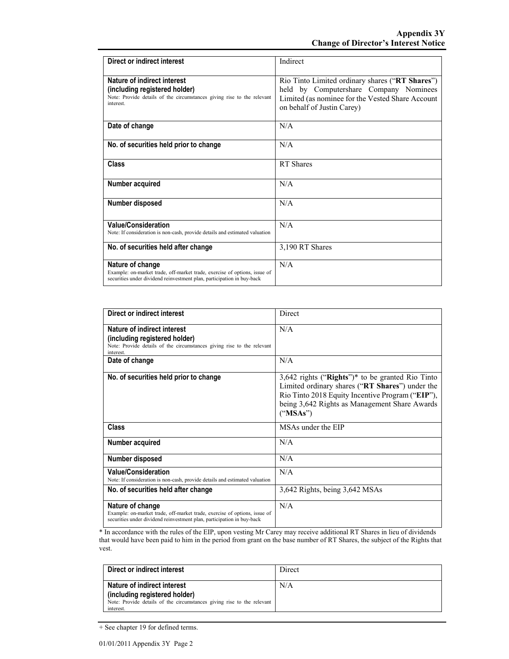| Direct or indirect interest                                                                                                                                             | Indirect                                                                                                                                                                    |
|-------------------------------------------------------------------------------------------------------------------------------------------------------------------------|-----------------------------------------------------------------------------------------------------------------------------------------------------------------------------|
| Nature of indirect interest<br>(including registered holder)<br>Note: Provide details of the circumstances giving rise to the relevant<br>interest.                     | Rio Tinto Limited ordinary shares ("RT Shares")<br>held by Computershare Company Nominees<br>Limited (as nominee for the Vested Share Account<br>on behalf of Justin Carey) |
| Date of change                                                                                                                                                          | N/A                                                                                                                                                                         |
| No. of securities held prior to change                                                                                                                                  | N/A                                                                                                                                                                         |
| Class                                                                                                                                                                   | RT Shares                                                                                                                                                                   |
| Number acquired                                                                                                                                                         | N/A                                                                                                                                                                         |
| Number disposed                                                                                                                                                         | N/A                                                                                                                                                                         |
| <b>Value/Consideration</b><br>Note: If consideration is non-cash, provide details and estimated valuation                                                               | N/A                                                                                                                                                                         |
| No. of securities held after change                                                                                                                                     | 3,190 RT Shares                                                                                                                                                             |
| Nature of change<br>Example: on-market trade, off-market trade, exercise of options, issue of<br>securities under dividend reinvestment plan, participation in buy-back | N/A                                                                                                                                                                         |

| Direct or indirect interest                                                                                                                                             | Direct                                                                                                                                                                                                                 |
|-------------------------------------------------------------------------------------------------------------------------------------------------------------------------|------------------------------------------------------------------------------------------------------------------------------------------------------------------------------------------------------------------------|
| Nature of indirect interest<br>(including registered holder)<br>Note: Provide details of the circumstances giving rise to the relevant<br>interest.                     | N/A                                                                                                                                                                                                                    |
| Date of change                                                                                                                                                          | N/A                                                                                                                                                                                                                    |
| No. of securities held prior to change                                                                                                                                  | $3,642$ rights ("Rights")* to be granted Rio Tinto<br>Limited ordinary shares ("RT Shares") under the<br>Rio Tinto 2018 Equity Incentive Program ("EIP"),<br>being 3,642 Rights as Management Share Awards<br>("MSAs") |
| <b>Class</b>                                                                                                                                                            | MSAs under the EIP                                                                                                                                                                                                     |
| Number acquired                                                                                                                                                         | N/A                                                                                                                                                                                                                    |
| Number disposed                                                                                                                                                         | N/A                                                                                                                                                                                                                    |
| <b>Value/Consideration</b><br>Note: If consideration is non-cash, provide details and estimated valuation                                                               | N/A                                                                                                                                                                                                                    |
| No. of securities held after change                                                                                                                                     | 3,642 Rights, being 3,642 MSAs                                                                                                                                                                                         |
| Nature of change<br>Example: on-market trade, off-market trade, exercise of options, issue of<br>securities under dividend reinvestment plan, participation in buy-back | N/A                                                                                                                                                                                                                    |

\* In accordance with the rules of the EIP, upon vesting Mr Carey may receive additional RT Shares in lieu of dividends that would have been paid to him in the period from grant on the base number of RT Shares, the subject of the Rights that vest.

| Direct or indirect interest                                                                             | Direct |
|---------------------------------------------------------------------------------------------------------|--------|
| Nature of indirect interest                                                                             | N/A    |
| (including registered holder)<br>Note: Provide details of the circumstances giving rise to the relevant |        |
| interest.                                                                                               |        |

<sup>+</sup> See chapter 19 for defined terms.